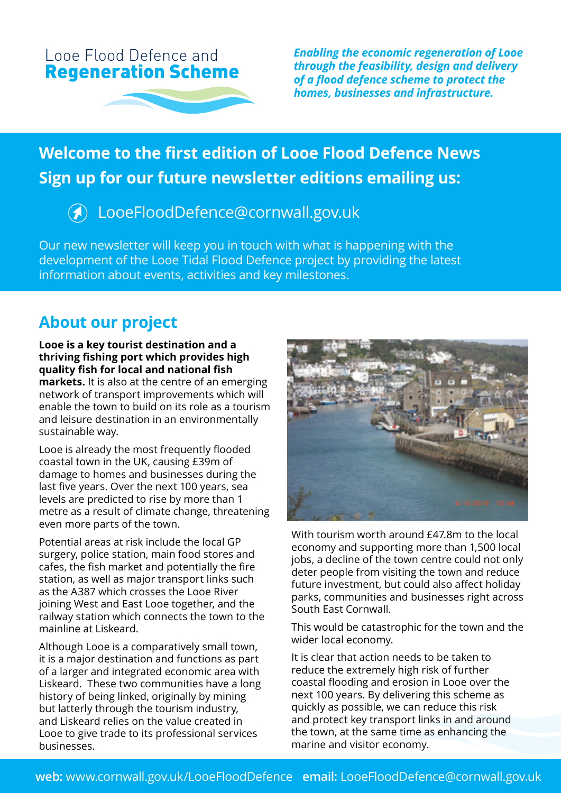



*Enabling the economic regeneration of Looe through the feasibility, design and delivery of a flood defence scheme to protect the homes, businesses and infrastructure.*

# **Welcome to the first edition of Looe Flood Defence News Sign up for our future newsletter editions emailing us:**

## LooeFloodDefence@cornwall.gov.uk

Our new newsletter will keep you in touch with what is happening with the development of the Looe Tidal Flood Defence project by providing the latest information about events, activities and key milestones.

### **About our project**

#### **Looe is a key tourist destination and a thriving fishing port which provides high quality fish for local and national fish**

**markets.** It is also at the centre of an emerging network of transport improvements which will enable the town to build on its role as a tourism and leisure destination in an environmentally sustainable way.

Looe is already the most frequently flooded coastal town in the UK, causing £39m of damage to homes and businesses during the last five years. Over the next 100 years, sea levels are predicted to rise by more than 1 metre as a result of climate change, threatening even more parts of the town.

Potential areas at risk include the local GP surgery, police station, main food stores and cafes, the fish market and potentially the fire station, as well as major transport links such as the A387 which crosses the Looe River joining West and East Looe together, and the railway station which connects the town to the mainline at Liskeard.

Although Looe is a comparatively small town, it is a major destination and functions as part of a larger and integrated economic area with Liskeard. These two communities have a long history of being linked, originally by mining but latterly through the tourism industry, and Liskeard relies on the value created in Looe to give trade to its professional services businesses.



With tourism worth around £47.8m to the local economy and supporting more than 1,500 local jobs, a decline of the town centre could not only deter people from visiting the town and reduce future investment, but could also affect holiday parks, communities and businesses right across South East Cornwall.

This would be catastrophic for the town and the wider local economy.

It is clear that action needs to be taken to reduce the extremely high risk of further coastal flooding and erosion in Looe over the next 100 years. By delivering this scheme as quickly as possible, we can reduce this risk and protect key transport links in and around the town, at the same time as enhancing the marine and visitor economy.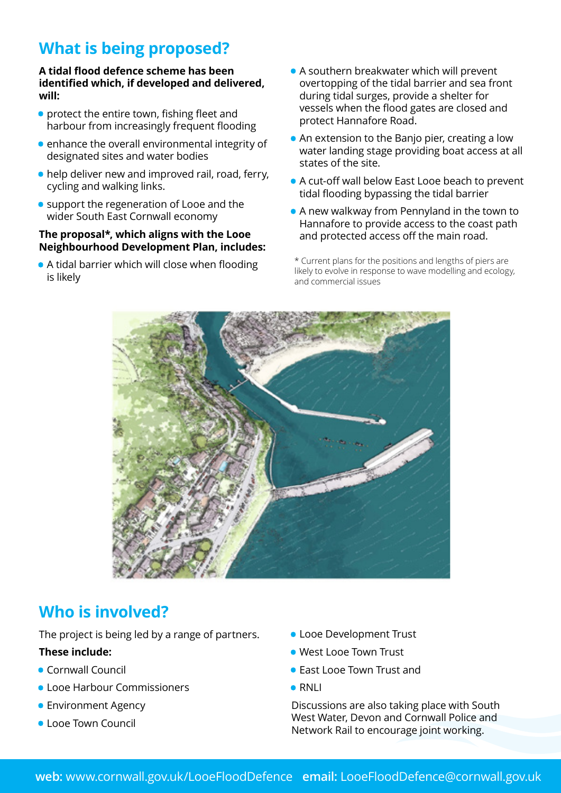## **What is being proposed?**

#### **A tidal flood defence scheme has been identified which, if developed and delivered, will:**

- protect the entire town, fishing fleet and harbour from increasingly frequent flooding
- enhance the overall environmental integrity of designated sites and water bodies
- help deliver new and improved rail, road, ferry, cycling and walking links.
- support the regeneration of Looe and the wider South East Cornwall economy

#### **The proposal\*, which aligns with the Looe Neighbourhood Development Plan, includes:**

• A tidal barrier which will close when flooding is likely

- A southern breakwater which will prevent overtopping of the tidal barrier and sea front during tidal surges, provide a shelter for vessels when the flood gates are closed and protect Hannafore Road.
- An extension to the Banjo pier, creating a low water landing stage providing boat access at all states of the site.
- A cut-off wall below East Looe beach to prevent tidal flooding bypassing the tidal barrier
- A new walkway from Pennyland in the town to Hannafore to provide access to the coast path and protected access off the main road.

\* Current plans for the positions and lengths of piers are likely to evolve in response to wave modelling and ecology, and commercial issues



## **Who is involved?**

The project is being led by a range of partners.

#### **These include:**

- Cornwall Council
- Looe Harbour Commissioners
- Environment Agency
- Looe Town Council
- Looe Development Trust
- West Looe Town Trust
- East Looe Town Trust and
- RNLI

Discussions are also taking place with South West Water, Devon and Cornwall Police and Network Rail to encourage joint working.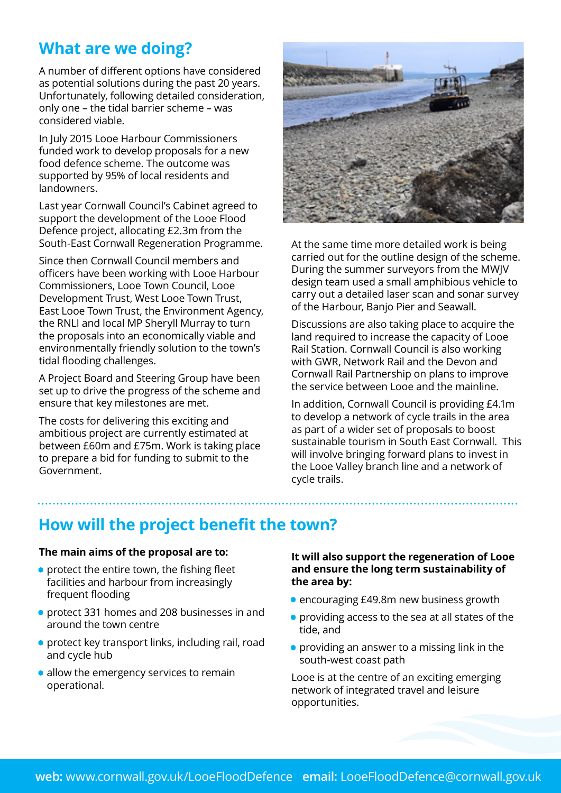## **What are we doing?**

A number of different options have considered as potential solutions during the past 20 years. Unfortunately, following detailed consideration, only one – the tidal barrier scheme – was considered viable.

In July 2015 Looe Harbour Commissioners funded work to develop proposals for a new food defence scheme. The outcome was supported by 95% of local residents and landowners.

Last year Cornwall Council's Cabinet agreed to support the development of the Looe Flood Defence project, allocating £2.3m from the South-East Cornwall Regeneration Programme.

Since then Cornwall Council members and officers have been working with Looe Harbour Commissioners, Looe Town Council, Looe Development Trust, West Looe Town Trust, East Looe Town Trust, the Environment Agency, the RNLI and local MP Sheryll Murray to turn the proposals into an economically viable and environmentally friendly solution to the town's tidal flooding challenges.

A Project Board and Steering Group have been set up to drive the progress of the scheme and ensure that key milestones are met.

The costs for delivering this exciting and ambitious project are currently estimated at between £60m and £75m. Work is taking place to prepare a bid for funding to submit to the Government.



At the same time more detailed work is being carried out for the outline design of the scheme. During the summer surveyors from the MWJV design team used a small amphibious vehicle to carry out a detailed laser scan and sonar survey of the Harbour, Banjo Pier and Seawall.

Discussions are also taking place to acquire the land required to increase the capacity of Looe Rail Station. Cornwall Council is also working with GWR, Network Rail and the Devon and Cornwall Rail Partnership on plans to improve the service between Looe and the mainline.

In addition, Cornwall Council is providing £4.1m to develop a network of cycle trails in the area as part of a wider set of proposals to boost sustainable tourism in South East Cornwall. This will involve bringing forward plans to invest in the Looe Valley branch line and a network of cycle trails.

### **How will the project benefit the town?**

#### **The main aims of the proposal are to:**

- protect the entire town, the fishing fleet facilities and harbour from increasingly frequent flooding
- protect 331 homes and 208 businesses in and around the town centre
- protect key transport links, including rail, road and cycle hub
- allow the emergency services to remain operational.

**It will also support the regeneration of Looe and ensure the long term sustainability of the area by:**

- encouraging £49.8m new business growth
- providing access to the sea at all states of the tide, and
- providing an answer to a missing link in the south-west coast path

Looe is at the centre of an exciting emerging network of integrated travel and leisure opportunities.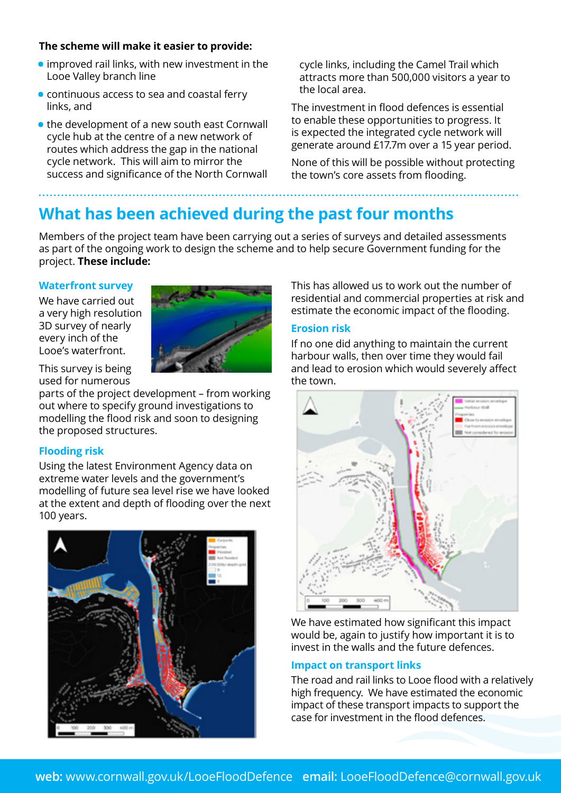#### **The scheme will make it easier to provide:**

- improved rail links, with new investment in the Looe Valley branch line
- continuous access to sea and coastal ferry links, and
- the development of a new south east Cornwall cycle hub at the centre of a new network of routes which address the gap in the national cycle network. This will aim to mirror the success and significance of the North Cornwall

cycle links, including the Camel Trail which attracts more than 500,000 visitors a year to the local area.

The investment in flood defences is essential to enable these opportunities to progress. It is expected the integrated cycle network will generate around £17.7m over a 15 year period.

None of this will be possible without protecting the town's core assets from flooding.

## **What has been achieved during the past four months**

Members of the project team have been carrying out a series of surveys and detailed assessments as part of the ongoing work to design the scheme and to help secure Government funding for the project. **These include:** 

#### **Waterfront survey**

We have carried out a very high resolution 3D survey of nearly every inch of the Looe's waterfront.



This survey is being used for numerous

parts of the project development – from working out where to specify ground investigations to modelling the flood risk and soon to designing the proposed structures.

#### **Flooding risk**

Using the latest Environment Agency data on extreme water levels and the government's modelling of future sea level rise we have looked at the extent and depth of flooding over the next 100 years.



This has allowed us to work out the number of residential and commercial properties at risk and estimate the economic impact of the flooding.

#### **Erosion risk**

If no one did anything to maintain the current harbour walls, then over time they would fail and lead to erosion which would severely affect the town.



We have estimated how significant this impact would be, again to justify how important it is to invest in the walls and the future defences.

#### **Impact on transport links**

The road and rail links to Looe flood with a relatively high frequency. We have estimated the economic impact of these transport impacts to support the case for investment in the flood defences.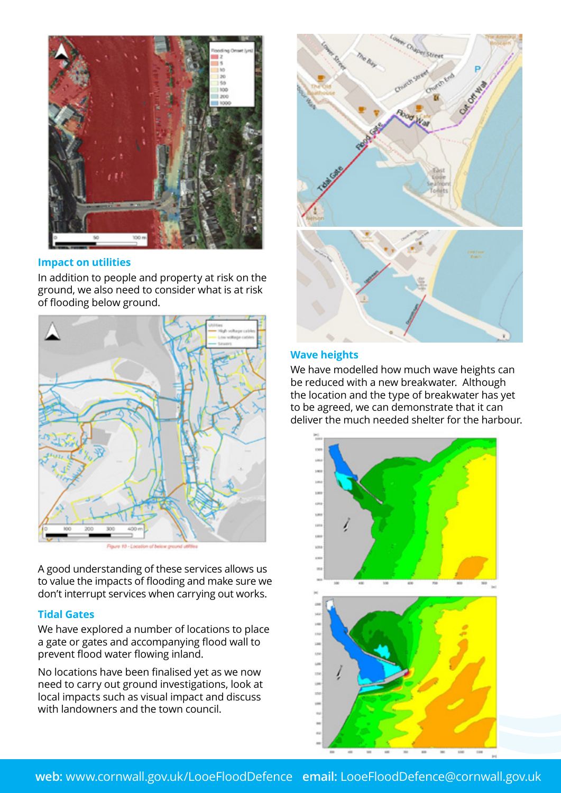

#### **Impact on utilities**

In addition to people and property at risk on the ground, we also need to consider what is at risk of flooding below ground.





A good understanding of these services allows us to value the impacts of flooding and make sure we don't interrupt services when carrying out works.

#### **Tidal Gates**

We have explored a number of locations to place a gate or gates and accompanying flood wall to prevent flood water flowing inland.

No locations have been finalised yet as we now need to carry out ground investigations, look at local impacts such as visual impact and discuss with landowners and the town council.



#### **Wave heights**

We have modelled how much wave heights can be reduced with a new breakwater. Although the location and the type of breakwater has yet to be agreed, we can demonstrate that it can deliver the much needed shelter for the harbour.